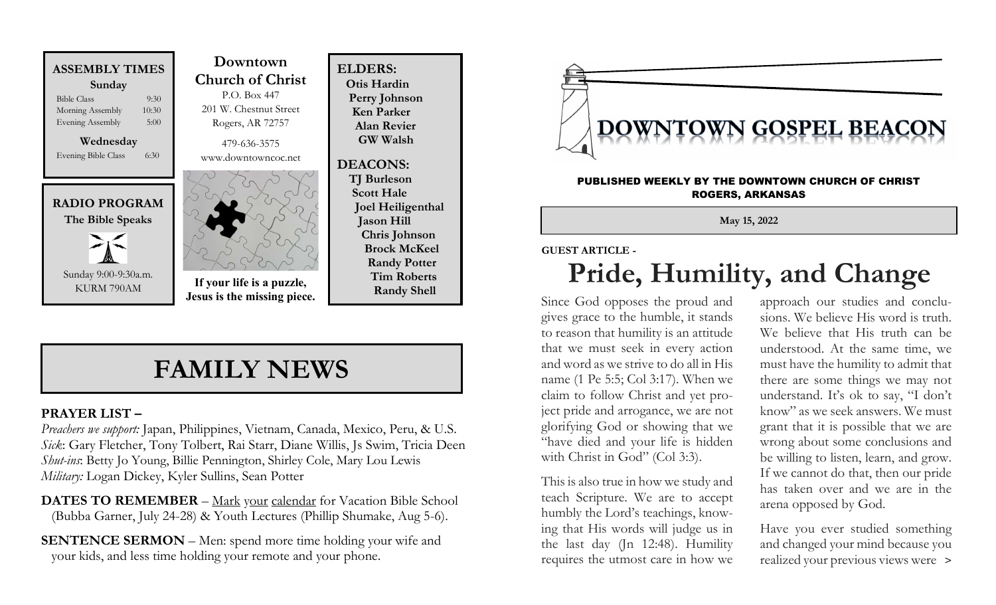



Sunday 9:00-9:30a.m. KURM 790AM

 Downtown Church of Christ P.O. Box 447 201 W. Chestnut Street Rogers, AR 72757 479-636-3575 www.downtowncoc.net

ELDERS: Otis Hardin Perry Johnson Ken Parker Alan Revier GW Walsh

DEACONS: TJ Burleson Scott Hale

Joel Heiligenthal

 Chris Johnson Brock McKeel Randy Potter Tim Roberts Randy Shell

Jason Hill



If your life is a puzzle, Jesus is the missing piece.

## FAMILY NEWS

### PRAYER LIST –

Preachers we support: Japan, Philippines, Vietnam, Canada, Mexico, Peru, & U.S. Sick: Gary Fletcher, Tony Tolbert, Rai Starr, Diane Willis, Js Swim, Tricia Deen Shut-ins: Betty Jo Young, Billie Pennington, Shirley Cole, Mary Lou Lewis Military: Logan Dickey, Kyler Sullins, Sean Potter

DATES TO REMEMBER – Mark your calendar for Vacation Bible School (Bubba Garner, July 24-28) & Youth Lectures (Phillip Shumake, Aug 5-6).

SENTENCE SERMON – Men: spend more time holding your wife and your kids, and less time holding your remote and your phone.



#### PUBLISHED WEEKLY BY THE DOWNTOWN CHURCH OF CHRIST ROGERS, ARKANSAS

May 15, 2022

#### GUEST ARTICLE -

# Pride, Humility, and Change

Since God opposes the proud and gives grace to the humble, it stands to reason that humility is an attitude that we must seek in every action and word as we strive to do all in His name (1 Pe 5:5; Col 3:17). When we claim to follow Christ and yet project pride and arrogance, we are not glorifying God or showing that we "have died and your life is hidden with Christ in God" (Col 3:3).

This is also true in how we study and teach Scripture. We are to accept humbly the Lord's teachings, knowing that His words will judge us in the last day (Jn 12:48). Humility requires the utmost care in how we

approach our studies and conclusions. We believe His word is truth. We believe that His truth can be understood. At the same time, we must have the humility to admit that there are some things we may not understand. It's ok to say, "I don't know" as we seek answers. We must grant that it is possible that we are wrong about some conclusions and be willing to listen, learn, and grow. If we cannot do that, then our pride has taken over and we are in the arena opposed by God.

Have you ever studied something and changed your mind because you realized your previous views were >